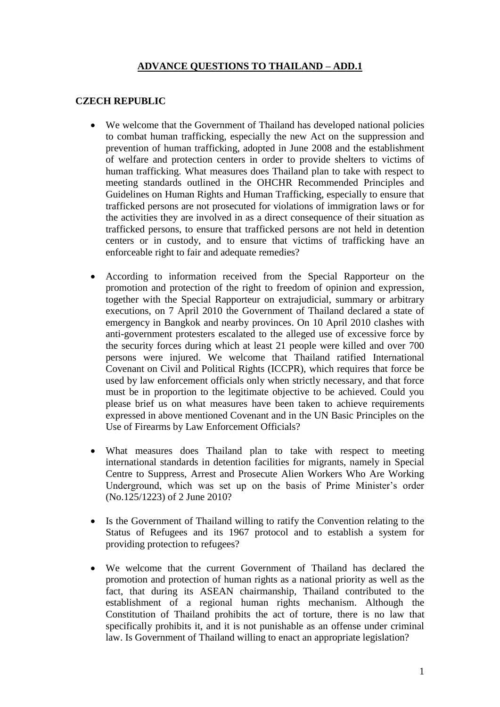## **ADVANCE QUESTIONS TO THAILAND – ADD.1**

#### **CZECH REPUBLIC**

- We welcome that the Government of Thailand has developed national policies to combat human trafficking, especially the new Act on the suppression and prevention of human trafficking, adopted in June 2008 and the establishment of welfare and protection centers in order to provide shelters to victims of human trafficking. What measures does Thailand plan to take with respect to meeting standards outlined in the OHCHR Recommended Principles and Guidelines on Human Rights and Human Trafficking, especially to ensure that trafficked persons are not prosecuted for violations of immigration laws or for the activities they are involved in as a direct consequence of their situation as trafficked persons, to ensure that trafficked persons are not held in detention centers or in custody, and to ensure that victims of trafficking have an enforceable right to fair and adequate remedies?
- According to information received from the Special Rapporteur on the promotion and protection of the right to freedom of opinion and expression, together with the Special Rapporteur on extrajudicial, summary or arbitrary executions, on 7 April 2010 the Government of Thailand declared a state of emergency in Bangkok and nearby provinces. On 10 April 2010 clashes with anti-government protesters escalated to the alleged use of excessive force by the security forces during which at least 21 people were killed and over 700 persons were injured. We welcome that Thailand ratified International Covenant on Civil and Political Rights (ICCPR), which requires that force be used by law enforcement officials only when strictly necessary, and that force must be in proportion to the legitimate objective to be achieved. Could you please brief us on what measures have been taken to achieve requirements expressed in above mentioned Covenant and in the UN Basic Principles on the Use of Firearms by Law Enforcement Officials?
- What measures does Thailand plan to take with respect to meeting international standards in detention facilities for migrants, namely in Special Centre to Suppress, Arrest and Prosecute Alien Workers Who Are Working Underground, which was set up on the basis of Prime Minister's order (No.125/1223) of 2 June 2010?
- Is the Government of Thailand willing to ratify the Convention relating to the Status of Refugees and its 1967 protocol and to establish a system for providing protection to refugees?
- We welcome that the current Government of Thailand has declared the promotion and protection of human rights as a national priority as well as the fact, that during its ASEAN chairmanship, Thailand contributed to the establishment of a regional human rights mechanism. Although the Constitution of Thailand prohibits the act of torture, there is no law that specifically prohibits it, and it is not punishable as an offense under criminal law. Is Government of Thailand willing to enact an appropriate legislation?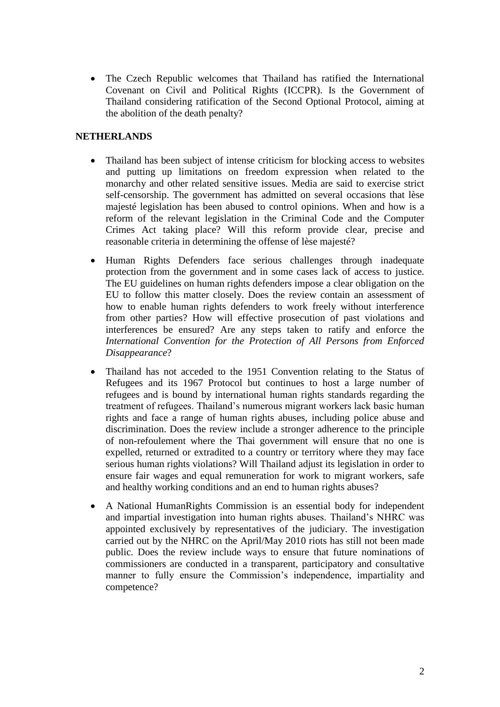• The Czech Republic welcomes that Thailand has ratified the International Covenant on Civil and Political Rights (ICCPR). Is the Government of Thailand considering ratification of the Second Optional Protocol, aiming at the abolition of the death penalty?

### **NETHERLANDS**

- Thailand has been subject of intense criticism for blocking access to websites and putting up limitations on freedom expression when related to the monarchy and other related sensitive issues. Media are said to exercise strict self-censorship. The government has admitted on several occasions that lèse majesté legislation has been abused to control opinions. When and how is a reform of the relevant legislation in the Criminal Code and the Computer Crimes Act taking place? Will this reform provide clear, precise and reasonable criteria in determining the offense of lèse majesté?
- Human Rights Defenders face serious challenges through inadequate protection from the government and in some cases lack of access to justice. The EU guidelines on human rights defenders impose a clear obligation on the EU to follow this matter closely. Does the review contain an assessment of how to enable human rights defenders to work freely without interference from other parties? How will effective prosecution of past violations and interferences be ensured? Are any steps taken to ratify and enforce the *International Convention for the Protection of All Persons from Enforced Disappearance*?
- Thailand has not acceded to the 1951 Convention relating to the Status of Refugees and its 1967 Protocol but continues to host a large number of refugees and is bound by international human rights standards regarding the treatment of refugees. Thailand's numerous migrant workers lack basic human rights and face a range of human rights abuses, including police abuse and discrimination. Does the review include a stronger adherence to the principle of non-refoulement where the Thai government will ensure that no one is expelled, returned or extradited to a country or territory where they may face serious human rights violations? Will Thailand adjust its legislation in order to ensure fair wages and equal remuneration for work to migrant workers, safe and healthy working conditions and an end to human rights abuses?
- A National HumanRights Commission is an essential body for independent and impartial investigation into human rights abuses. Thailand's NHRC was appointed exclusively by representatives of the judiciary. The investigation carried out by the NHRC on the April/May 2010 riots has still not been made public. Does the review include ways to ensure that future nominations of commissioners are conducted in a transparent, participatory and consultative manner to fully ensure the Commission's independence, impartiality and competence?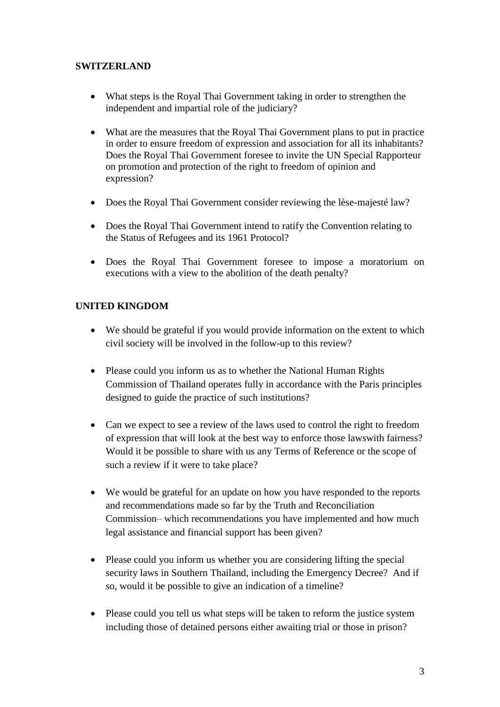## **SWITZERLAND**

- What steps is the Royal Thai Government taking in order to strengthen the independent and impartial role of the judiciary?
- What are the measures that the Royal Thai Government plans to put in practice in order to ensure freedom of expression and association for all its inhabitants? Does the Royal Thai Government foresee to invite the UN Special Rapporteur on promotion and protection of the right to freedom of opinion and expression?
- Does the Royal Thai Government consider reviewing the lèse-majesté law?
- Does the Royal Thai Government intend to ratify the Convention relating to the Status of Refugees and its 1961 Protocol?
- Does the Royal Thai Government foresee to impose a moratorium on executions with a view to the abolition of the death penalty?

# **UNITED KINGDOM**

- We should be grateful if you would provide information on the extent to which civil society will be involved in the follow-up to this review?
- Please could you inform us as to whether the National Human Rights Commission of Thailand operates fully in accordance with the Paris principles designed to guide the practice of such institutions?
- Can we expect to see a review of the laws used to control the right to freedom of expression that will look at the best way to enforce those lawswith fairness? Would it be possible to share with us any Terms of Reference or the scope of such a review if it were to take place?
- We would be grateful for an update on how you have responded to the reports and recommendations made so far by the Truth and Reconciliation Commission– which recommendations you have implemented and how much legal assistance and financial support has been given?
- Please could you inform us whether you are considering lifting the special security laws in Southern Thailand, including the Emergency Decree? And if so, would it be possible to give an indication of a timeline?
- Please could you tell us what steps will be taken to reform the justice system including those of detained persons either awaiting trial or those in prison?